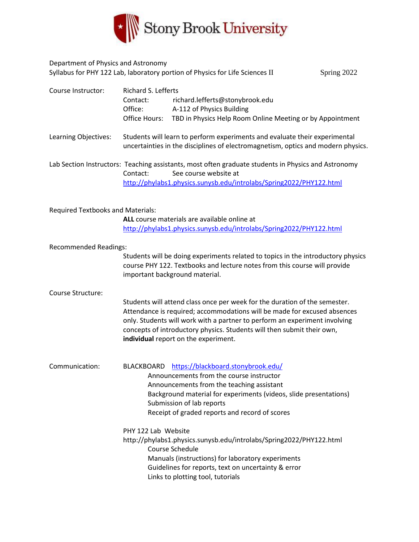

| Department of Physics and Astronomy      |                                                                                                                                                                                                                                                                                            | Syllabus for PHY 122 Lab, laboratory portion of Physics for Life Sciences II                                                                                                                                                                                                                                                                           |  | Spring 2022 |  |
|------------------------------------------|--------------------------------------------------------------------------------------------------------------------------------------------------------------------------------------------------------------------------------------------------------------------------------------------|--------------------------------------------------------------------------------------------------------------------------------------------------------------------------------------------------------------------------------------------------------------------------------------------------------------------------------------------------------|--|-------------|--|
| Course Instructor:                       | Richard S. Lefferts<br>Contact:<br>Office:<br>Office Hours:                                                                                                                                                                                                                                | richard.lefferts@stonybrook.edu<br>A-112 of Physics Building<br>TBD in Physics Help Room Online Meeting or by Appointment                                                                                                                                                                                                                              |  |             |  |
| Learning Objectives:                     |                                                                                                                                                                                                                                                                                            | Students will learn to perform experiments and evaluate their experimental<br>uncertainties in the disciplines of electromagnetism, optics and modern physics.                                                                                                                                                                                         |  |             |  |
|                                          | Lab Section Instructors: Teaching assistants, most often graduate students in Physics and Astronomy<br>See course website at<br>Contact:<br>http://phylabs1.physics.sunysb.edu/introlabs/Spring2022/PHY122.html                                                                            |                                                                                                                                                                                                                                                                                                                                                        |  |             |  |
| <b>Required Textbooks and Materials:</b> |                                                                                                                                                                                                                                                                                            | ALL course materials are available online at<br>http://phylabs1.physics.sunysb.edu/introlabs/Spring2022/PHY122.html                                                                                                                                                                                                                                    |  |             |  |
| <b>Recommended Readings:</b>             | Students will be doing experiments related to topics in the introductory physics<br>course PHY 122. Textbooks and lecture notes from this course will provide<br>important background material.                                                                                            |                                                                                                                                                                                                                                                                                                                                                        |  |             |  |
| Course Structure:                        |                                                                                                                                                                                                                                                                                            | Students will attend class once per week for the duration of the semester.<br>Attendance is required; accommodations will be made for excused absences<br>only. Students will work with a partner to perform an experiment involving<br>concepts of introductory physics. Students will then submit their own,<br>individual report on the experiment. |  |             |  |
| Communication:                           | BLACKBOARD https://blackboard.stonybrook.edu/<br>Announcements from the course instructor<br>Announcements from the teaching assistant<br>Background material for experiments (videos, slide presentations)<br>Submission of lab reports<br>Receipt of graded reports and record of scores |                                                                                                                                                                                                                                                                                                                                                        |  |             |  |
|                                          | PHY 122 Lab Website                                                                                                                                                                                                                                                                        | http://phylabs1.physics.sunysb.edu/introlabs/Spring2022/PHY122.html<br>Course Schedule<br>Manuals (instructions) for laboratory experiments<br>Guidelines for reports, text on uncertainty & error<br>Links to plotting tool, tutorials                                                                                                                |  |             |  |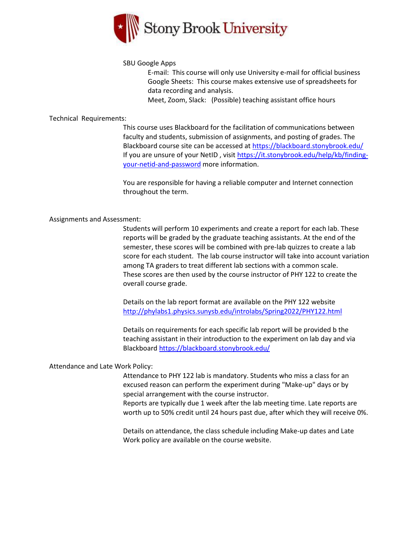

## SBU Google Apps

E-mail: This course will only use University e-mail for official business Google Sheets: This course makes extensive use of spreadsheets for data recording and analysis.

Meet, Zoom, Slack: (Possible) teaching assistant office hours

## Technical Requirements:

This course uses Blackboard for the facilitation of communications between faculty and students, submission of assignments, and posting of grades. The Blackboard course site can be accessed at<https://blackboard.stonybrook.edu/> If you are unsure of your NetID , visi[t https://it.stonybrook.edu/help/kb/finding](https://it.stonybrook.edu/help/kb/finding-your-netid-and-password)[your-netid-and-password](https://it.stonybrook.edu/help/kb/finding-your-netid-and-password) more information.

You are responsible for having a reliable computer and Internet connection throughout the term.

## Assignments and Assessment:

Students will perform 10 experiments and create a report for each lab. These reports will be graded by the graduate teaching assistants. At the end of the semester, these scores will be combined with pre-lab quizzes to create a lab score for each student. The lab course instructor will take into account variation among TA graders to treat different lab sections with a common scale. These scores are then used by the course instructor of PHY 122 to create the overall course grade.

Details on the lab report format are available on the PHY 122 website <http://phylabs1.physics.sunysb.edu/introlabs/Spring2022/PHY122.html>

Details on requirements for each specific lab report will be provided b the teaching assistant in their introduction to the experiment on lab day and via Blackboar[d https://blackboard.stonybrook.edu/](https://blackboard.stonybrook.edu/)

# Attendance and Late Work Policy:

Attendance to PHY 122 lab is mandatory. Students who miss a class for an excused reason can perform the experiment during "Make-up" days or by special arrangement with the course instructor.

Reports are typically due 1 week after the lab meeting time. Late reports are worth up to 50% credit until 24 hours past due, after which they will receive 0%.

Details on attendance, the class schedule including Make-up dates and Late Work policy are available on the course website.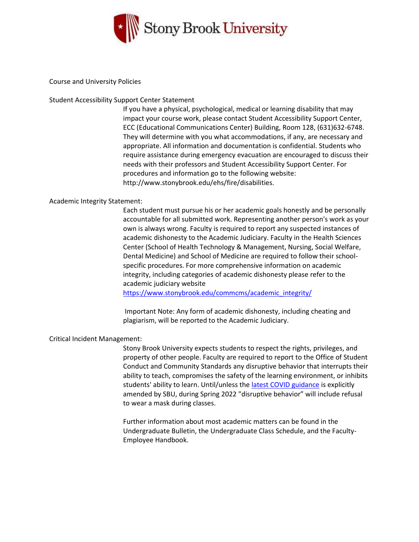

#### Course and University Policies

## Student Accessibility Support Center Statement

If you have a physical, psychological, medical or learning disability that may impact your course work, please contact Student Accessibility Support Center, ECC (Educational Communications Center) Building, Room 128, (631)632-6748. They will determine with you what accommodations, if any, are necessary and appropriate. All information and documentation is confidential. Students who require assistance during emergency evacuation are encouraged to discuss their needs with their professors and Student Accessibility Support Center. For procedures and information go to the following website: http://www.stonybrook.edu/ehs/fire/disabilities.

## Academic Integrity Statement:

Each student must pursue his or her academic goals honestly and be personally accountable for all submitted work. Representing another person's work as your own is always wrong. Faculty is required to report any suspected instances of academic dishonesty to the Academic Judiciary. Faculty in the Health Sciences Center (School of Health Technology & Management, Nursing, Social Welfare, Dental Medicine) and School of Medicine are required to follow their schoolspecific procedures. For more comprehensive information on academic integrity, including categories of academic dishonesty please refer to the academic judiciary website

[https://www.stonybrook.edu/commcms/academic\\_integrity/](https://www.stonybrook.edu/commcms/academic_integrity/)

Important Note: Any form of academic dishonesty, including cheating and plagiarism, will be reported to the Academic Judiciary.

#### Critical Incident Management:

Stony Brook University expects students to respect the rights, privileges, and property of other people. Faculty are required to report to the Office of Student Conduct and Community Standards any disruptive behavior that interrupts their ability to teach, compromises the safety of the learning environment, or inhibits students' ability to learn. Until/unless the [latest COVID guidance](https://r20.rs6.net/tn.jsp?f=001OnQcHr9tWpezd0Z1V12uij9JXzLfrfZtklNDhN_xgfNyT1mkOADleeDjUdOgt_wcXlEV3OeMDjIiCDb8gPwO7Xj9Fxgb0xQNp9VxYfK4maFQRSQstetWcjpteXwQko5OM-MczeE4Z_PkpMRkyRqqxE7jp-_0Qr79DQB74OjA4RnLy5YQOxdNvz_KyjDP3yS1c4XzD-MCoj8=&c=jUWzXLEc3rdUz7IHNOscY_ch4dC-PyV9cRoo0c5kT01T6wndQTUgmg==&ch=bcAzc5cQpnp6BErqW_U_iX_hoQC4IE22LcmI287RET3qn3yi42PjEg==) is explicitly amended by SBU, during Spring 2022 "disruptive behavior" will include refusal to wear a mask during classes.

Further information about most academic matters can be found in the Undergraduate Bulletin, the Undergraduate Class Schedule, and the Faculty-Employee Handbook.